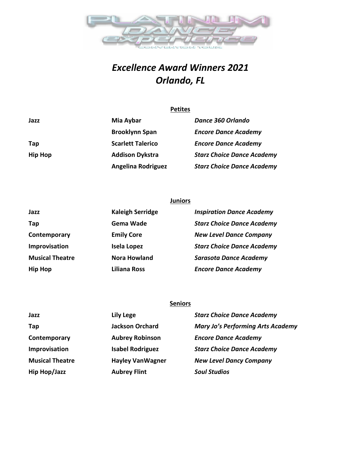

## *Excellence Award Winners 2021 Orlando, FL*

|                | <b>Petites</b>            |                                   |
|----------------|---------------------------|-----------------------------------|
| Jazz           | Mia Aybar                 | Dance 360 Orlando                 |
|                | <b>Brooklynn Span</b>     | <b>Encore Dance Academy</b>       |
| Tap            | <b>Scarlett Talerico</b>  | <b>Encore Dance Academy</b>       |
| <b>Hip Hop</b> | <b>Addison Dykstra</b>    | <b>Starz Choice Dance Academy</b> |
|                | <b>Angelina Rodriguez</b> | <b>Starz Choice Dance Academy</b> |

|                        | <b>Juniors</b>          |                                   |
|------------------------|-------------------------|-----------------------------------|
| Jazz                   | <b>Kaleigh Serridge</b> | <b>Inspiration Dance Academy</b>  |
| Tap                    | Gema Wade               | <b>Starz Choice Dance Academy</b> |
| Contemporary           | <b>Emily Core</b>       | <b>New Level Dance Company</b>    |
| Improvisation          | <b>Isela Lopez</b>      | <b>Starz Choice Dance Academy</b> |
| <b>Musical Theatre</b> | <b>Nora Howland</b>     | <b>Sarasota Dance Academy</b>     |
| Hip Hop                | Liliana Ross            | <b>Encore Dance Academy</b>       |

## **Seniors**

| Jazz                   | <b>Lily Lege</b>         | <b>Starz Choice Dance Academy</b>        |
|------------------------|--------------------------|------------------------------------------|
| Tap                    | <b>Jackson Orchard</b>   | <b>Mary Jo's Performing Arts Academy</b> |
| Contemporary           | <b>Aubrey Robinson</b>   | <b>Encore Dance Academy</b>              |
| Improvisation          | <b>Isabel Rodriguez</b>  | <b>Starz Choice Dance Academy</b>        |
| <b>Musical Theatre</b> | <b>Hayley Van Wagner</b> | <b>New Level Dancy Company</b>           |
| Hip Hop/Jazz           | <b>Aubrey Flint</b>      | <b>Soul Studios</b>                      |